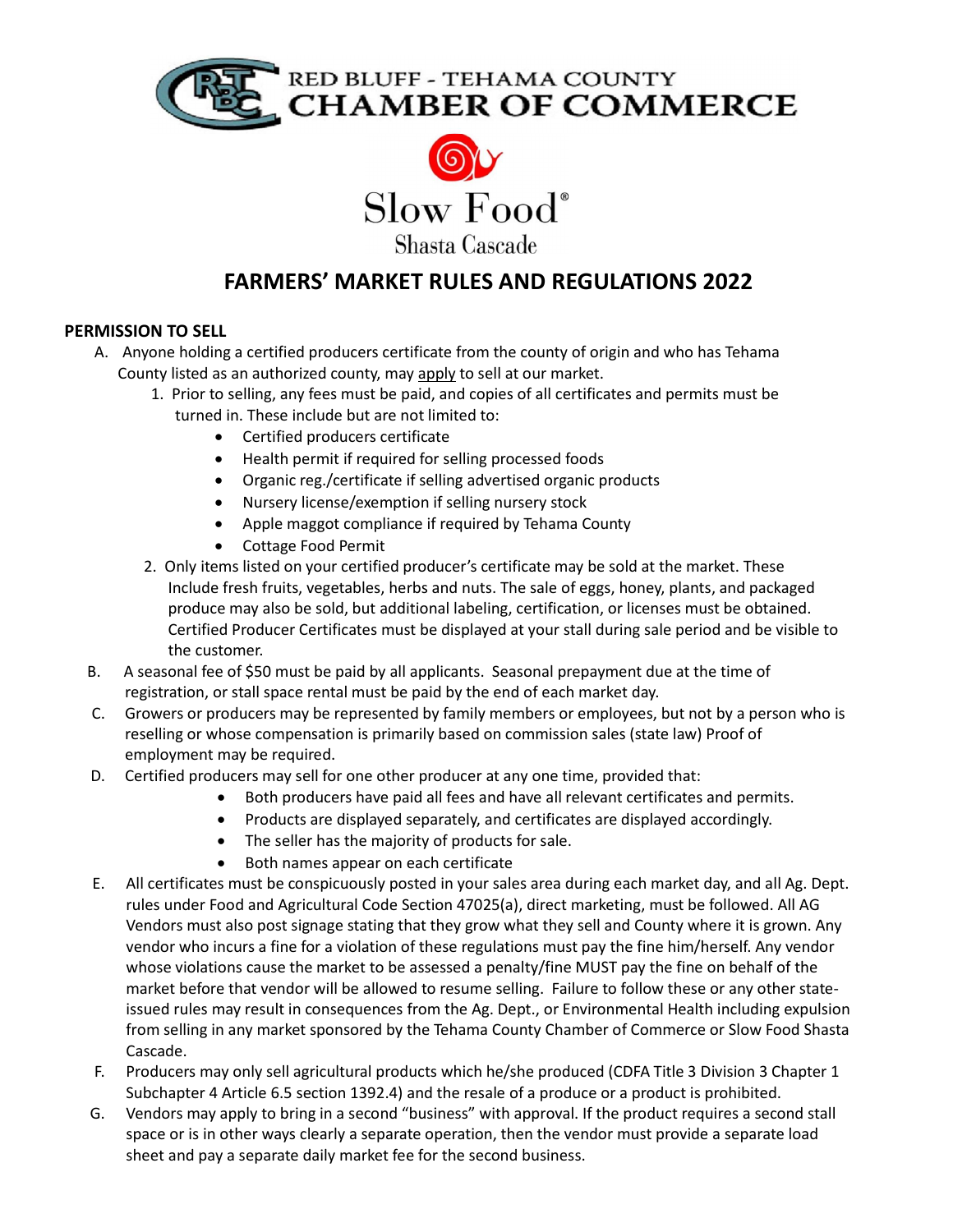

RED BLUFF - TEHAMA COUNTY<br>**CHAMBER OF COMMERCE** 



# FARMERS' MARKET RULES AND REGULATIONS 2022

# PERMISSION TO SELL

- A. Anyone holding a certified producers certificate from the county of origin and who has Tehama County listed as an authorized county, may apply to sell at our market.
	- 1. Prior to selling, any fees must be paid, and copies of all certificates and permits must be turned in. These include but are not limited to:
		- Certified producers certificate
		- Health permit if required for selling processed foods
		- Organic reg./certificate if selling advertised organic products
		- Nursery license/exemption if selling nursery stock
		- Apple maggot compliance if required by Tehama County
		- Cottage Food Permit
	- 2. Only items listed on your certified producer's certificate may be sold at the market. These Include fresh fruits, vegetables, herbs and nuts. The sale of eggs, honey, plants, and packaged produce may also be sold, but additional labeling, certification, or licenses must be obtained. Certified Producer Certificates must be displayed at your stall during sale period and be visible to the customer.
- B. A seasonal fee of \$50 must be paid by all applicants. Seasonal prepayment due at the time of registration, or stall space rental must be paid by the end of each market day.
- C. Growers or producers may be represented by family members or employees, but not by a person who is reselling or whose compensation is primarily based on commission sales (state law) Proof of employment may be required.
- D. Certified producers may sell for one other producer at any one time, provided that:
	- Both producers have paid all fees and have all relevant certificates and permits.
	- Products are displayed separately, and certificates are displayed accordingly.
	- The seller has the majority of products for sale.
	- Both names appear on each certificate
- E. All certificates must be conspicuously posted in your sales area during each market day, and all Ag. Dept. rules under Food and Agricultural Code Section 47025(a), direct marketing, must be followed. All AG Vendors must also post signage stating that they grow what they sell and County where it is grown. Any vendor who incurs a fine for a violation of these regulations must pay the fine him/herself. Any vendor whose violations cause the market to be assessed a penalty/fine MUST pay the fine on behalf of the market before that vendor will be allowed to resume selling. Failure to follow these or any other stateissued rules may result in consequences from the Ag. Dept., or Environmental Health including expulsion from selling in any market sponsored by the Tehama County Chamber of Commerce or Slow Food Shasta Cascade.
- F. Producers may only sell agricultural products which he/she produced (CDFA Title 3 Division 3 Chapter 1 Subchapter 4 Article 6.5 section 1392.4) and the resale of a produce or a product is prohibited.
- G. Vendors may apply to bring in a second "business" with approval. If the product requires a second stall space or is in other ways clearly a separate operation, then the vendor must provide a separate load sheet and pay a separate daily market fee for the second business.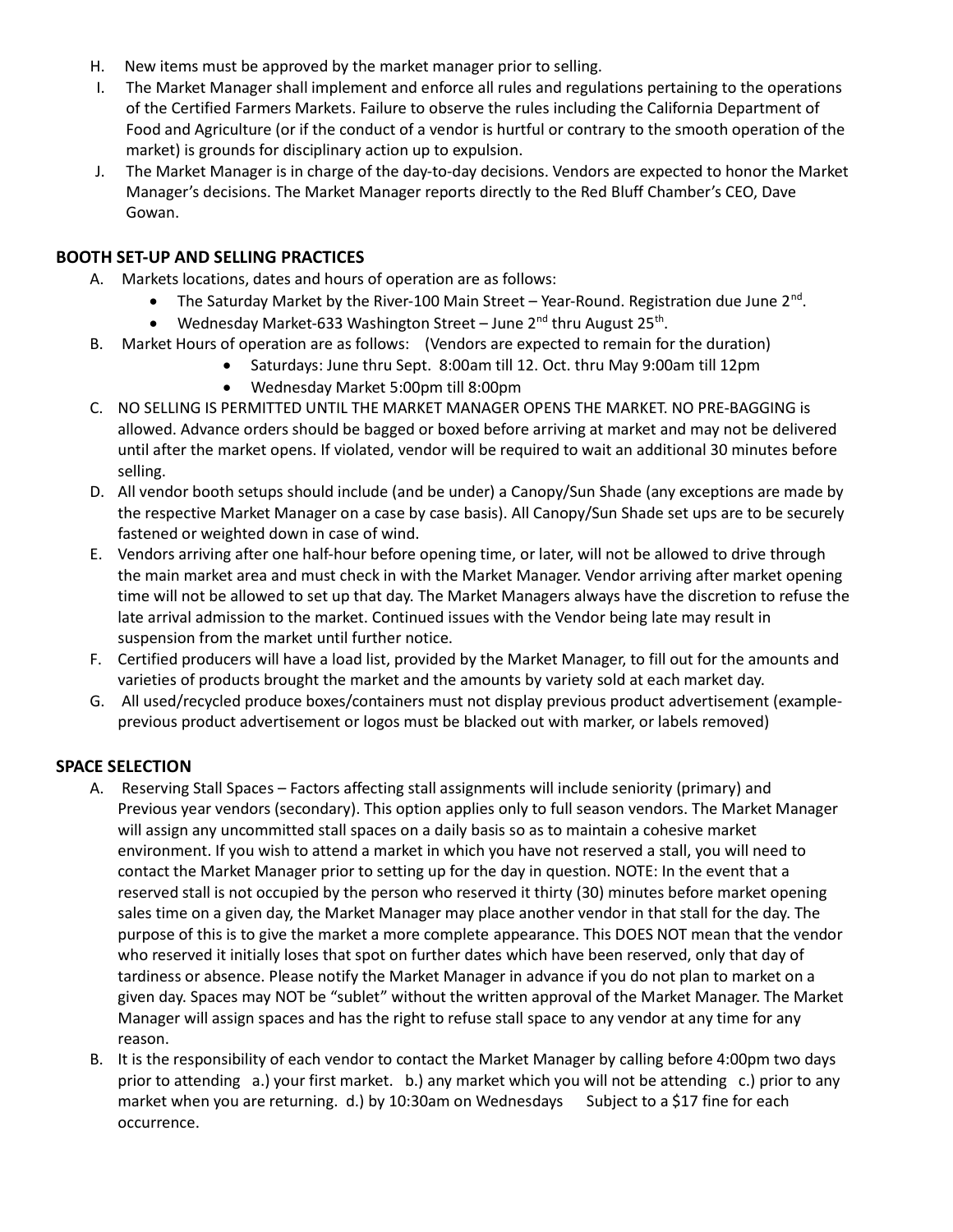- H. New items must be approved by the market manager prior to selling.
- I. The Market Manager shall implement and enforce all rules and regulations pertaining to the operations of the Certified Farmers Markets. Failure to observe the rules including the California Department of Food and Agriculture (or if the conduct of a vendor is hurtful or contrary to the smooth operation of the market) is grounds for disciplinary action up to expulsion.
- J. The Market Manager is in charge of the day-to-day decisions. Vendors are expected to honor the Market Manager's decisions. The Market Manager reports directly to the Red Bluff Chamber's CEO, Dave Gowan.

#### BOOTH SET-UP AND SELLING PRACTICES

- A. Markets locations, dates and hours of operation are as follows:
	- The Saturday Market by the River-100 Main Street Year-Round. Registration due June  $2^{nd}$ .
	- Wednesday Market-633 Washington Street June 2<sup>nd</sup> thru August 25<sup>th</sup>.
- B. Market Hours of operation are as follows: (Vendors are expected to remain for the duration)
	- Saturdays: June thru Sept. 8:00am till 12. Oct. thru May 9:00am till 12pm
	- Wednesday Market 5:00pm till 8:00pm
- C. NO SELLING IS PERMITTED UNTIL THE MARKET MANAGER OPENS THE MARKET. NO PRE-BAGGING is allowed. Advance orders should be bagged or boxed before arriving at market and may not be delivered until after the market opens. If violated, vendor will be required to wait an additional 30 minutes before selling.
- D. All vendor booth setups should include (and be under) a Canopy/Sun Shade (any exceptions are made by the respective Market Manager on a case by case basis). All Canopy/Sun Shade set ups are to be securely fastened or weighted down in case of wind.
- E. Vendors arriving after one half-hour before opening time, or later, will not be allowed to drive through the main market area and must check in with the Market Manager. Vendor arriving after market opening time will not be allowed to set up that day. The Market Managers always have the discretion to refuse the late arrival admission to the market. Continued issues with the Vendor being late may result in suspension from the market until further notice.
- F. Certified producers will have a load list, provided by the Market Manager, to fill out for the amounts and varieties of products brought the market and the amounts by variety sold at each market day.
- G. All used/recycled produce boxes/containers must not display previous product advertisement (exampleprevious product advertisement or logos must be blacked out with marker, or labels removed)

## SPACE SELECTION

- A. Reserving Stall Spaces Factors affecting stall assignments will include seniority (primary) and Previous year vendors (secondary). This option applies only to full season vendors. The Market Manager will assign any uncommitted stall spaces on a daily basis so as to maintain a cohesive market environment. If you wish to attend a market in which you have not reserved a stall, you will need to contact the Market Manager prior to setting up for the day in question. NOTE: In the event that a reserved stall is not occupied by the person who reserved it thirty (30) minutes before market opening sales time on a given day, the Market Manager may place another vendor in that stall for the day. The purpose of this is to give the market a more complete appearance. This DOES NOT mean that the vendor who reserved it initially loses that spot on further dates which have been reserved, only that day of tardiness or absence. Please notify the Market Manager in advance if you do not plan to market on a given day. Spaces may NOT be "sublet" without the written approval of the Market Manager. The Market Manager will assign spaces and has the right to refuse stall space to any vendor at any time for any reason.
- B. It is the responsibility of each vendor to contact the Market Manager by calling before 4:00pm two days prior to attending a.) your first market. b.) any market which you will not be attending c.) prior to any market when you are returning. d.) by 10:30am on Wednesdays Subject to a \$17 fine for each occurrence.